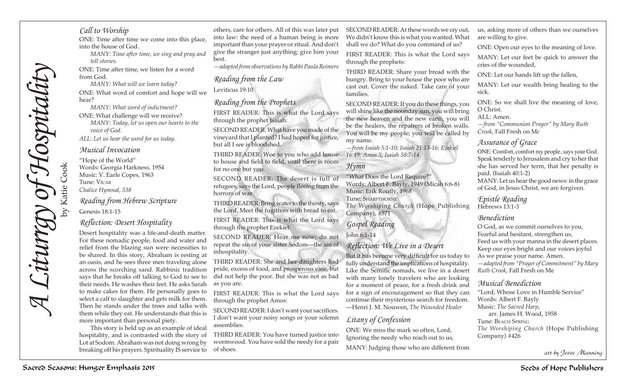# *Call to Worship*

ONE: Time after time we come into this place, into the house of God.

*MANY: Time after time, we sing and pray and tell stories.*

ONE: Time after time, we listen for a word from God.

*MANY: What will we learn today?*  ONE: What word of comfort and hope will we hear?

*MANY: What word of indictment?*  ONE: What challenge will we receive? *MANY: Today, let us open our hearts to the voice of God.*

*ALL: Let us hear the word for us today.* 

#### *Musical Invocation*

"Hope of the World" Words: Georgia Harkness, 1954 Music: V. Earle Copes, 1963 Tune: Vicar *Chalice Hymnal, 538*

*Reading from Hebrew Scripture*

Genesis 18:1-15

# *Reflection: Desert Hospitality*

Sacred Seasons: Hunger Cookies and The Cookies and The Cookies and the Cookies and the Cookies and the Cookies and the Cookies and the Cookies and the Cookies and the Cookies and the Cookies and the Cookies and the Cookie Desert hospitality was a life-and-death matter. For these nomadic people, food and water and relief from the blazing sun were necessities to be shared. In this story, Abraham is resting at an oasis, and he sees three men traveling alone across the scorching sand. Rabbinic tradition says that he breaks off talking to God to see to their needs. He washes their feet. He asks Sarah to make cakes for them. He personally goes to select a calf to slaughter and gets milk for them. Then he stands under the trees and talks with them while they eat. He understands that this is more important than personal piety.

This story is held up as an example of ideal hospitality, and is contrasted with the story of Lot at Sodom. Abraham was not doing wrong by breaking off his prayers. Spirituality IS service to of shoes.

others, care for others. All of this was later put into law: the need of a human being is more important than your prayer or ritual. And don't give the stranger just anything; give him your best.

*—adapted from observations by Rabbi Paula Reimers*

# *Reading from the Law* Leviticus 19:10

# *Reading from the Prophets*

FIRST READER: This is what the Lord says through the prophet Isaiah:

SECOND READER: What have you made of the vineyard that I planted? I had hoped for justice, but all I see is bloodshed.

THIRD READER: Woe to you who add house *16:49; Amos 5; Isaiah 58:7-14* to house and field to field, until there is room for no one but you.

SECOND READER: The desert is full of refugees, says the Lord, people fleeing from the horrors of war.

THIRD READER: Bring water to the thirsty, says the Lord. Meet the fugitives with bread to eat.

FIRST READER: This is what the Lord says through the prophet Ezekiel:

SECOND READER: Hear me now; do not repeat the sin of your sister Sodom—the sin of inhospitality.

THIRD READER: She and her daughters had pride, excess of food, and prosperous ease, but did not help the poor. But she was not as bad as you are.

FIRST READER: This is what the Lord says through the prophet Amos:

SECOND READER: I don't want your sacrifices. I don't want your noisy songs or your solemn assemblies.

THIRD READER: You have turned justice into wormwood. You have sold the needy for a pair

SECOND READER: At these words we cry out, We didn't know this is what you wanted. What shall we do? What do you command of us?

FIRST READER: This is what the Lord says through the prophets:

THIRD READER: Share your bread with the hungry. Bring to your house the poor who are cast out. Cover the naked. Take care of your families.

SECOND READER: If you do these things, you will shine like the noonday sun, you will bring the new heaven and the new earth, you will be the healers, the repairers of broken walls. You will be my people; you will be called by my name.

*—from Isaiah 5:1-10; Isaiah 21:13-16; Ezekiel* 

# *Hymn*

"What Does the Lord Require?" Words: Albert F. Bayly, 1949 (Micah 6:6-8) Music: Erik Routly, 1968 Tune: Sharpthorne *The Worshiping Church* (Hope Publishing Company), #571

*Gospel Reading* John 6:1-14

### *Reflection: We Live in a Desert*

But it has become very difficult for us today to fully understand the implications of hospitality. Like the Semitic nomads, we live in a desert with many lonely travelers who are looking for a moment of peace, for a fresh drink and for a sign of encouragement so that they can continue their mysterious search for freedom. —Henri J. M. Nouwen, *The Wounded Healer*

# *Litany of Confession*

ONE: We miss the mark so often, Lord, Ignoring the needy who reach out to us, MANY: Judging those who are different from us, asking more of others than we ourselves are willing to give.

ONE: Open our eyes to the meaning of love.

MANY: Let our feet be quick to answer the cries of the wounded,

ONE: Let our hands lift up the fallen,

MANY: Let our wealth bring healing to the sick.

ONE: So we shall live the meaning of love, O Christ.

ALL: Amen.

*—from "Communion Prayer" by Mary Ruth Crook,* Fall Fresh on M*e*

# *Assurance of Grace*

ONE: Comfort, comfort my people, says your God. Speak tenderly to Jerusalem and cry to her that she has served her term, that her penalty is paid. (Isaiah 40:1-2) MANY: Let us hear the good news: in the grace of God, in Jesus Christ, we are forgiven.

*Epistle Reading* Hebrews 13:1-3

# *Benediction*

O God, as we commit ourselves to you, Fearful and hesitant, strengthen us, Feed us with your manna in the desert places. Keep our eyes bright and our voices joyful As we praise your name. Amen. *—adapted from "Prayer of Commitment" by Mary Ruth Crook,* Fall Fresh on Me

# *Musical Benediction*

"Lord, Whose Love in Humble Service" Words: Albert F. Bayly Music: *The Sacred Harp*,

arr. James H. Wood, 1958 Tune: Beach Spring *The Worshiping Church* (Hope Publishing Company) #426

*art by Jesse Manning*